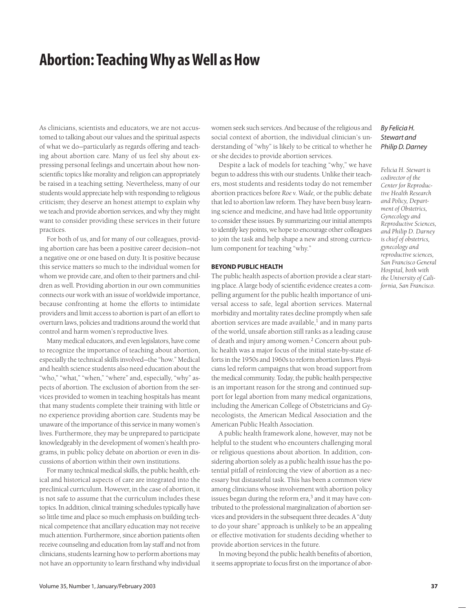# **Abortion: Teaching Why as Well as How**

As clinicians, scientists and educators, we are not accustomed to talking about our values and the spiritual aspects of what we do—particularly as regards offering and teaching about abortion care. Many of us feel shy about expressing personal feelings and uncertain about how nonscientific topics like morality and religion can appropriately be raised in a teaching setting. Nevertheless, many of our students would appreciate help with responding to religious criticism; they deserve an honest attempt to explain why we teach and provide abortion services, and why they might want to consider providing these services in their future practices.

For both of us, and for many of our colleagues, providing abortion care has been a positive career decision—not a negative one or one based on duty. It is positive because this service matters so much to the individual women for whom we provide care, and often to their partners and children as well. Providing abortion in our own communities connects our work with an issue of worldwide importance, because confronting at home the efforts to intimidate providers and limit access to abortion is part of an effort to overturn laws, policies and traditions around the world that control and harm women's reproductive lives.

Many medical educators, and even legislators, have come to recognize the importance of teaching about abortion, especially the technical skills involved—the "how." Medical and health science students also need education about the "who," "what," "when," "where" and, especially, "why" aspects of abortion. The exclusion of abortion from the services provided to women in teaching hospitals has meant that many students complete their training with little or no experience providing abortion care. Students may be unaware of the importance of this service in many women's lives. Furthermore, they may be unprepared to participate knowledgeably in the development of women's health programs, in public policy debate on abortion or even in discussions of abortion within their own institutions.

For many technical medical skills, the public health, ethical and historical aspects of care are integrated into the preclinical curriculum. However, in the case of abortion, it is not safe to assume that the curriculum includes these topics. In addition, clinical training schedules typically have so little time and place so much emphasis on building technical competence that ancillary education may not receive much attention. Furthermore, since abortion patients often receive counseling and education from lay staff and not from clinicians, students learning how to perform abortions may not have an opportunity to learn firsthand why individual women seek such services. And because of the religious and social context of abortion, the individual clinician's understanding of "why" is likely to be critical to whether he or she decides to provide abortion services.

Despite a lack of models for teaching "why," we have begun to address this with our students. Unlike their teachers, most students and residents today do not remember abortion practices before *Roe v. Wade,* or the public debate that led to abortion law reform. They have been busy learning science and medicine, and have had little opportunity to consider these issues. By summarizing our initial attempts to identify key points, we hope to encourage other colleagues to join the task and help shape a new and strong curriculum component for teaching "why."

## **BEYOND PUBLIC HEALTH**

The public health aspects of abortion provide a clear starting place. A large body of scientific evidence creates a compelling argument for the public health importance of universal access to safe, legal abortion services. Maternal morbidity and mortality rates decline promptly when safe abortion services are made available, $<sup>1</sup>$  and in many parts</sup> of the world, unsafe abortion still ranks as a leading cause of death and injury among women.2 Concern about public health was a major focus of the initial state-by-state efforts in the 1950s and 1960s to reform abortion laws. Physicians led reform campaigns that won broad support from the medical community. Today, the public health perspective is an important reason for the strong and continued support for legal abortion from many medical organizations, including the American College of Obstetricians and Gynecologists, the American Medical Association and the American Public Health Association.

A public health framework alone, however, may not be helpful to the student who encounters challenging moral or religious questions about abortion. In addition, considering abortion solely as a public health issue has the potential pitfall of reinforcing the view of abortion as a necessary but distasteful task. This has been a common view among clinicians whose involvement with abortion policy issues began during the reform  $era<sup>3</sup>$  and it may have contributed to the professional marginalization of abortion services and providers in the subsequent three decades. A "duty to do your share" approach is unlikely to be an appealing or effective motivation for students deciding whether to provide abortion services in the future.

In moving beyond the public health benefits of abortion, it seems appropriate to focus first on the importance of abor-

# *By Felicia H. Stewart and Philip D. Darney*

*Felicia H. Stewart is codirector of the Center for Reproductive Health Research and Policy, Department of Obstetrics, Gynecology and Reproductive Sciences, and Philip D. Darney is chief of obstetrics, gynecology and reproductive sciences, San Francisco General Hospital, both with the University of California, San Francisco.*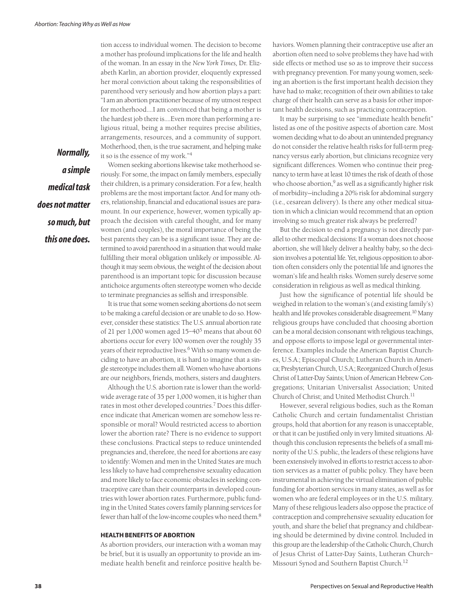tion access to individual women. The decision to become a mother has profound implications for the life and health of the woman. In an essay in the *New York Times,* Dr. Elizabeth Karlin, an abortion provider, eloquently expressed her moral conviction about taking the responsibilities of parenthood very seriously and how abortion plays a part: "I am an abortion practitioner because of my utmost respect for motherhood.…I am convinced that being a mother is the hardest job there is.…Even more than performing a religious ritual, being a mother requires precise abilities, arrangements, resources, and a community of support. Motherhood, then, is the true sacrament, and helping make it so is the essence of my work."4

*a simple medical task does not matter so much, but this one does.*

*Normally,* 

Women seeking abortions likewise take motherhood seriously. For some, the impact on family members, especially their children, is a primary consideration. For a few, health problems are the most important factor. And for many others, relationship, financial and educational issues are paramount. In our experience, however, women typically approach the decision with careful thought, and for many women (and couples), the moral importance of being the best parents they can be is a significant issue. They are determined to avoid parenthood in a situation that would make fulfilling their moral obligation unlikely or impossible. Although it may seem obvious, the weight of the decision about parenthood is an important topic for discussion because antichoice arguments often stereotype women who decide to terminate pregnancies as selfish and irresponsible.

It is true that some women seeking abortions do not seem to be making a careful decision or are unable to do so. However, consider these statistics: The U.S. annual abortion rate of 21 per 1,000 women aged 15–405 means that about 60 abortions occur for every 100 women over the roughly 35 years of their reproductive lives.<sup>6</sup> With so many women deciding to have an abortion, it is hard to imagine that a single stereotype includes them all. Women who have abortions are our neighbors, friends, mothers, sisters and daughters.

Although the U.S. abortion rate is lower than the worldwide average rate of 35 per 1,000 women, it is higher than rates in most other developed countries.7 Does this difference indicate that American women are somehow less responsible or moral? Would restricted access to abortion lower the abortion rate? There is no evidence to support these conclusions. Practical steps to reduce unintended pregnancies and, therefore, the need for abortions are easy to identify: Women and men in the United States are much less likely to have had comprehensive sexuality education and more likely to face economic obstacles in seeking contraceptive care than their counterparts in developed countries with lower abortion rates. Furthermore, public funding in the United States covers family planning services for fewer than half of the low-income couples who need them.8

#### **HEALTH BENEFITS OF ABORTION**

As abortion providers, our interaction with a woman may be brief, but it is usually an opportunity to provide an immediate health benefit and reinforce positive health behaviors. Women planning their contraceptive use after an abortion often need to solve problems they have had with side effects or method use so as to improve their success with pregnancy prevention. For many young women, seeking an abortion is the first important health decision they have had to make; recognition of their own abilities to take charge of their health can serve as a basis for other important health decisions, such as practicing contraception.

It may be surprising to see "immediate health benefit" listed as one of the positive aspects of abortion care. Most women deciding what to do about an unintended pregnancy do not consider the relative health risks for full-term pregnancy versus early abortion, but clinicians recognize very significant differences. Women who continue their pregnancy to term have at least 10 times the risk of death of those who choose abortion, $9$  as well as a significantly higher risk of morbidity—including a 20% risk for abdominal surgery (i.e., cesarean delivery). Is there any other medical situation in which a clinician would recommend that an option involving so much greater risk always be preferred?

But the decision to end a pregnancy is not directly parallel to other medical decisions: If a woman does not choose abortion, she will likely deliver a healthy baby, so the decision involves a potential life. Yet, religious opposition to abortion often considers only the potential life and ignores the woman's life and health risks. Women surely deserve some consideration in religious as well as medical thinking.

Just how the significance of potential life should be weighed in relation to the woman's (and existing family's) health and life provokes considerable disagreement.<sup>10</sup> Many religious groups have concluded that choosing abortion can be a moral decision consonant with religious teachings, and oppose efforts to impose legal or governmental interference. Examples include the American Baptist Churches, U.S.A.; Episcopal Church; Lutheran Church in America; Presbyterian Church, U.S.A.; Reorganized Church of Jesus Christ of Latter-Day Saints; Union of American Hebrew Congregations; Unitarian Universalist Association; United Church of Christ; and United Methodist Church.<sup>11</sup>

However, several religious bodies, such as the Roman Catholic Church and certain fundamentalist Christian groups, hold that abortion for any reason is unacceptable, or that it can be justified only in very limited situations. Although this conclusion represents the beliefs of a small minority of the U.S. public, the leaders of these religions have been extensively involved in efforts to restrict access to abortion services as a matter of public policy. They have been instrumental in achieving the virtual elimination of public funding for abortion services in many states, as well as for women who are federal employees or in the U.S. military. Many of these religious leaders also oppose the practice of contraception and comprehensive sexuality education for youth, and share the belief that pregnancy and childbearing should be determined by divine control. Included in this group are the leadership of the Catholic Church, Church of Jesus Christ of Latter-Day Saints, Lutheran Church– Missouri Synod and Southern Baptist Church.12